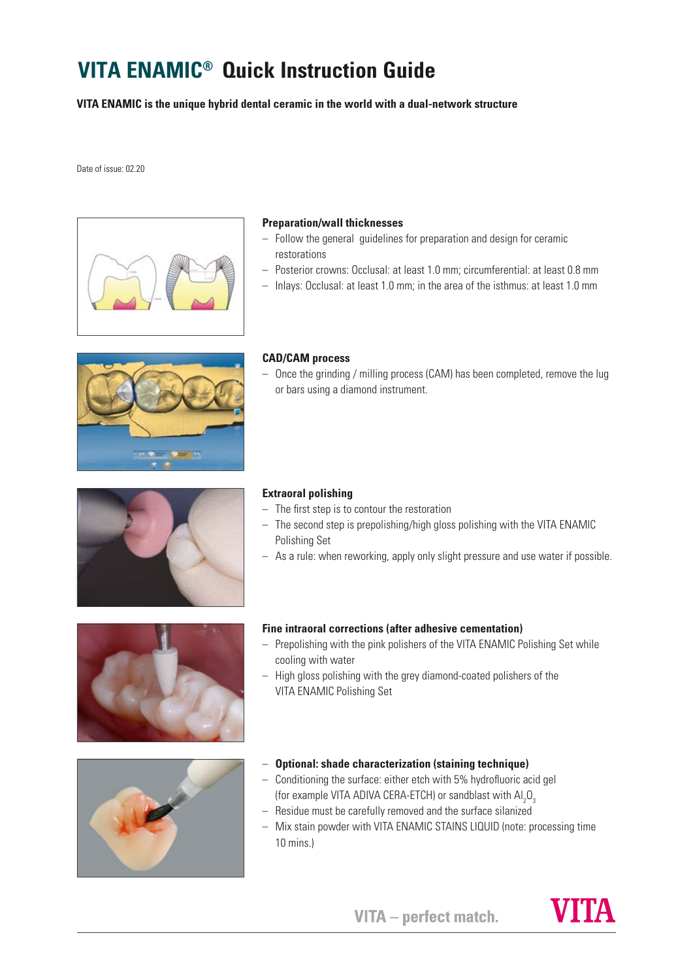# **VITA ENAMIC® Quick Instruction Guide**

**VITA ENAMIC is the unique hybrid dental ceramic in the world with a dual-network structure**

Date of issue: 02.20



### **Preparation/wall thicknesses**

- Follow the general guidelines for preparation and design for ceramic restorations
- Posterior crowns: Occlusal: at least 1.0 mm; circumferential: at least 0.8 mm
- Inlays: Occlusal: at least 1.0 mm; in the area of the isthmus: at least 1.0 mm



# **CAD/CAM process**

– Once the grinding / milling process (CAM) has been completed, remove the lug or bars using a diamond instrument.



#### **Extraoral polishing**

- The first step is to contour the restoration
- The second step is prepolishing/high gloss polishing with the VITA ENAMIC Polishing Set
- As a rule: when reworking, apply only slight pressure and use water if possible.



# **Fine intraoral corrections (after adhesive cementation)**

- Prepolishing with the pink polishers of the VITA ENAMIC Polishing Set while cooling with water
- High gloss polishing with the grey diamond-coated polishers of the VITA ENAMIC Polishing Set



- **Optional: shade characterization (staining technique)**
- Conditioning the surface: either etch with 5% hydrofluoric acid gel (for example VITA ADIVA CERA-ETCH) or sandblast with  $\mathsf{Al}_2\mathsf{O}_3$
- Residue must be carefully removed and the surface silanized
- Mix stain powder with VITA ENAMIC STAINS LIQUID (note: processing time 10 mins.)